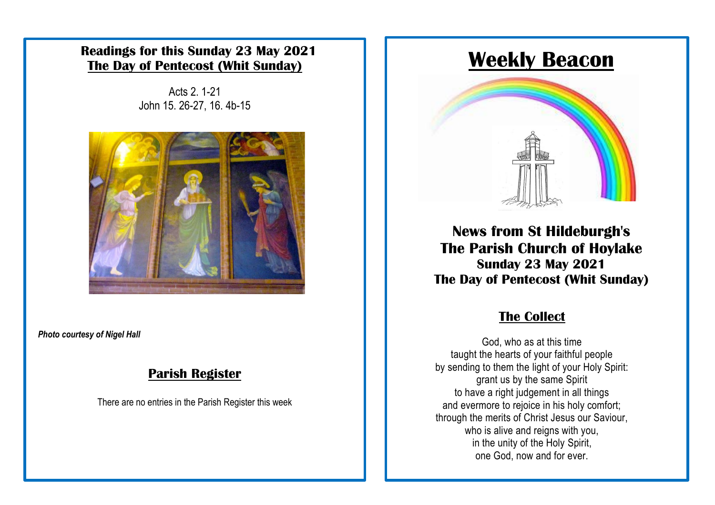### **Readings for this Sunday 23 May 2021 The Day of Pentecost (Whit Sunday)**

Acts 2. 1-21 John 15. 26-27, 16. 4b-15



*Photo courtesy of Nigel Hall*

### **Parish Register**

There are no entries in the Parish Register this week

# **Weekly Beacon**



**News from St Hildeburgh's The Parish Church of Hoylake Sunday 23 May 2021 The Day of Pentecost (Whit Sunday)** 

# **The Collect**

God, who as at this time taught the hearts of your faithful people by sending to them the light of your Holy Spirit: grant us by the same Spirit to have a right judgement in all things and evermore to rejoice in his holy comfort; through the merits of Christ Jesus our Saviour, who is alive and reigns with you, in the unity of the Holy Spirit, one God, now and for ever.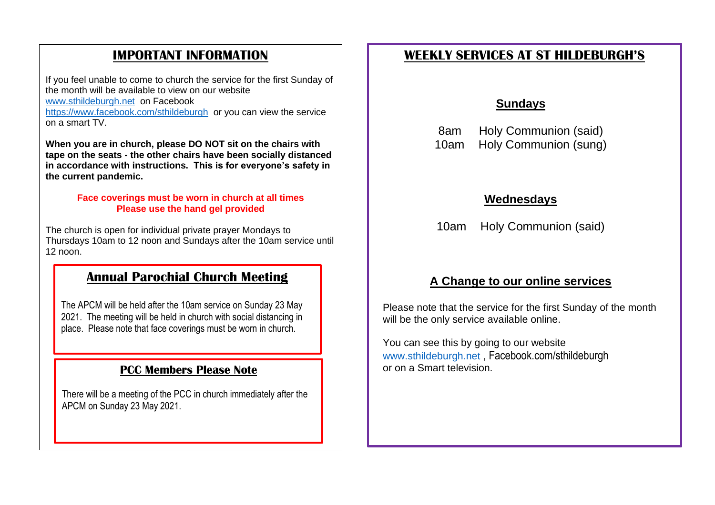## **IMPORTANT INFORMATION**

If you feel unable to come to church the service for the first Sunday of the month will be available to view on our website [www.sthildeburgh.net](http://www.sthildeburgh.net/) on Facebook <https://www.facebook.com/sthildeburgh>or you can view the service on a smart TV.

**When you are in church, please DO NOT sit on the chairs with tape on the seats - the other chairs have been socially distanced in accordance with instructions. This is for everyone's safety in the current pandemic.**

### **Face coverings must be worn in church at all times Please use the hand gel provided**

The church is open for individual private prayer Mondays to Thursdays 10am to 12 noon and Sundays after the 10am service until 12 noon.

### **Annual Parochial Church Meeting**

The APCM will be held after the 10am service on Sunday 23 May 2021. The meeting will be held in church with social distancing in place. Please note that face coverings must be worn in church.

### **PCC Members Please Note**

There will be a meeting of the PCC in church immediately after the APCM on Sunday 23 May 2021.

## **WEEKLY SERVICES AT ST HILDEBURGH'S**

### **Sundays**

8am Holy Communion (said) 10am Holy Communion (sung)

### **Wednesdays**

10am Holy Communion (said)

### **A Change to our online services**

Please note that the service for the first Sunday of the month will be the only service available online.

You can see this by going to our website [www.sthildeburgh.net](http://www.sthildeburgh.net/), Facebook.com/sthildeburgh<br>or on a Smart television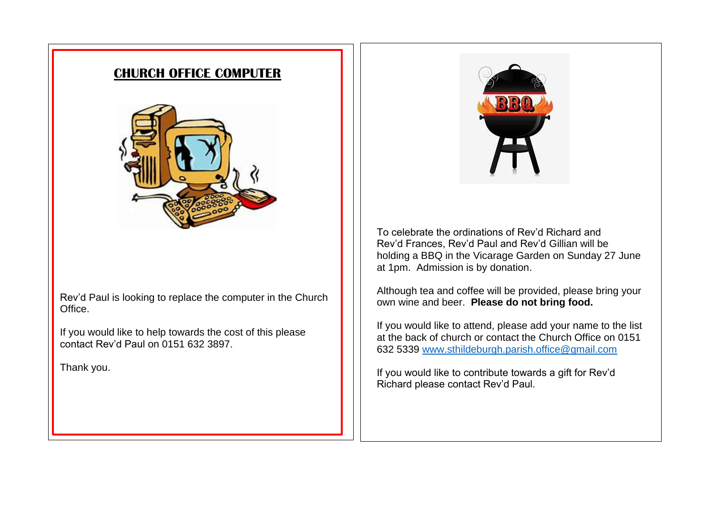### **CHURCH OFFICE COMPUTER**



Rev'd Paul is looking to replace the computer in the Church Office.

If you would like to help towards the cost of this please contact Rev'd Paul on 0151 632 3897.

Thank you.



To celebrate the ordinations of Rev'd Richard and Rev'd Frances, Rev'd Paul and Rev'd Gillian will be holding a BBQ in the Vicarage Garden on Sunday 27 June at 1pm. Admission is by donation.

Although tea and coffee will be provided, please bring your own wine and beer. **Please do not bring food.**

If you would like to attend, please add your name to the list at the back of church or contact the Church Office on 0151 632 5339 [www.sthildeburgh.parish.office@gmail.com](http://www.sthildeburgh.parish.office@gmail.com)

If you would like to contribute towards a gift for Rev'd Richard please contact Rev'd Paul.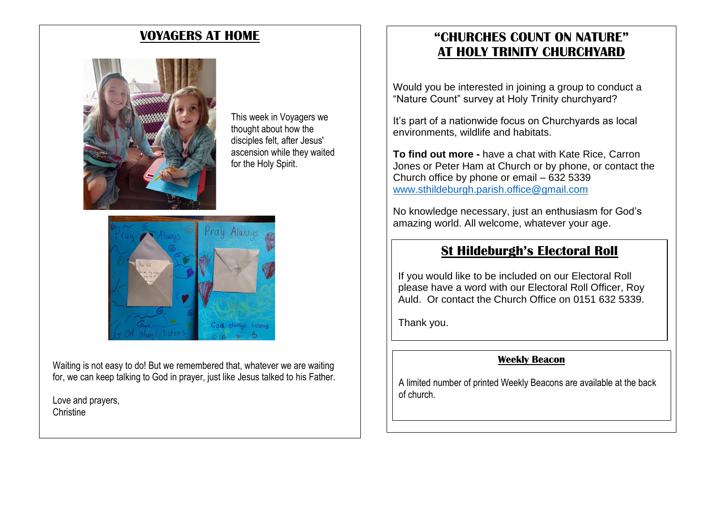

This week in Voyagers we thought about how the disciples felt, after Jesus' ascension while they waited for the Holy Spirit.



Waiting is not easy to do! But we remembered that, whatever we are waiting for, we can keep talking to God in prayer, just like Jesus talked to his Father.

Love and prayers, **Christine** 

## **VOYAGERS AT HOME "CHURCHES COUNT ON NATURE" AT HOLY TRINITY CHURCHYARD**

Would you be interested in joining a group to conduct a "Nature Count" survey at Holy Trinity churchyard?

It's part of a nationwide focus on Churchyards as local environments, wildlife and habitats.

**To find out more -** have a chat with Kate Rice, Carron Jones or Peter Ham at Church or by phone, or contact the Church office by phone or email – 632 5339 [www.sthildeburgh.parish.office@gmail.com](http://www.sthildeburgh.parish.office@gmail.com)

No knowledge necessary, just an enthusiasm for God's amazing world. All welcome, whatever your age.

### **St Hildeburgh's Electoral Roll**

If you would like to be included on our Electoral Roll please have a word with our Electoral Roll Officer, Roy Auld. Or contact the Church Office on 0151 632 5339.

Thank you.

### **Weekly Beacon**

A limited number of printed Weekly Beacons are available at the back of church.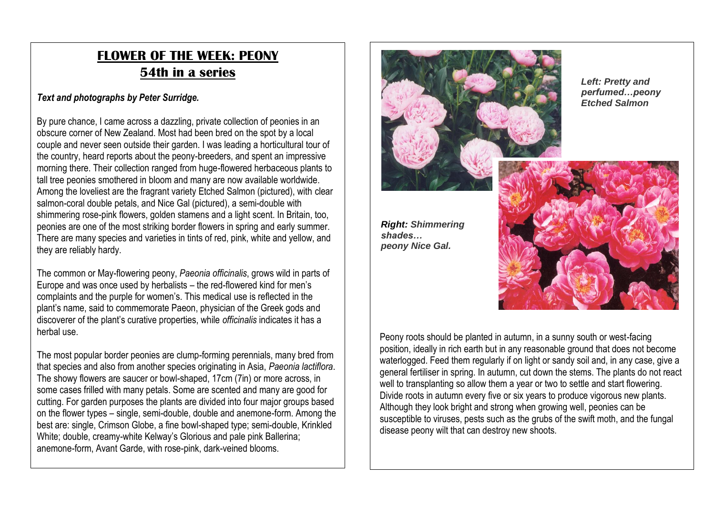# **FLOWER OF THE WEEK: PEONY 54th in a series**

### *Text and photographs by Peter Surridge.*

By pure chance, I came across a dazzling, private collection of peonies in an obscure corner of New Zealand. Most had been bred on the spot by a local couple and never seen outside their garden. I was leading a horticultural tour of the country, heard reports about the peony-breeders, and spent an impressive morning there. Their collection ranged from huge-flowered herbaceous plants to tall tree peonies smothered in bloom and many are now available worldwide. Among the loveliest are the fragrant variety Etched Salmon (pictured), with clear salmon-coral double petals, and Nice Gal (pictured), a semi-double with shimmering rose-pink flowers, golden stamens and a light scent. In Britain, too, peonies are one of the most striking border flowers in spring and early summer. There are many species and varieties in tints of red, pink, white and yellow, and they are reliably hardy.

The common or May-flowering peony, *Paeonia officinalis*, grows wild in parts of Europe and was once used by herbalists – the red-flowered kind for men's complaints and the purple for women's. This medical use is reflected in the plant's name, said to commemorate Paeon, physician of the Greek gods and discoverer of the plant's curative properties, while *officinalis* indicates it has a herbal use.

The most popular border peonies are clump-forming perennials, many bred from that species and also from another species originating in Asia, *Paeonia lactiflora*. The showy flowers are saucer or bowl-shaped, 17cm (7in) or more across, in some cases frilled with many petals. Some are scented and many are good for cutting. For garden purposes the plants are divided into four major groups based on the flower types – single, semi-double, double and anemone-form. Among the best are: single, Crimson Globe, a fine bowl-shaped type; semi-double, Krinkled White; double, creamy-white Kelway's Glorious and pale pink Ballerina; anemone-form, Avant Garde, with rose-pink, dark-veined blooms.



*Right: Shimmering shades… peony Nice Gal.*

*Left: Pretty and perfumed…peony Etched Salmon*



Peony roots should be planted in autumn, in a sunny south or west-facing position, ideally in rich earth but in any reasonable ground that does not become waterlogged. Feed them regularly if on light or sandy soil and, in any case, give a general fertiliser in spring. In autumn, cut down the stems. The plants do not react well to transplanting so allow them a year or two to settle and start flowering. Divide roots in autumn every five or six years to produce vigorous new plants. Although they look bright and strong when growing well, peonies can be susceptible to viruses, pests such as the grubs of the swift moth, and the fungal disease peony wilt that can destroy new shoots.